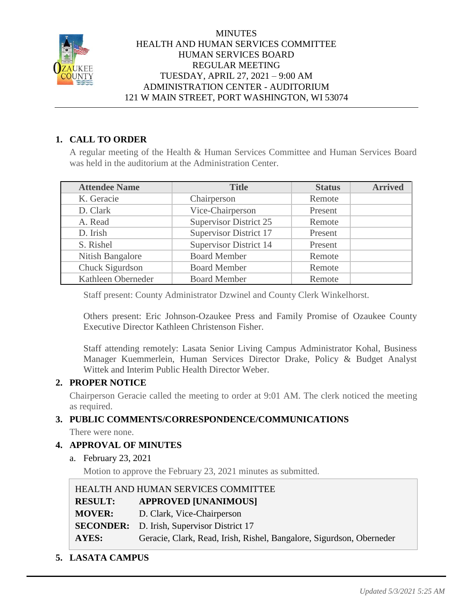

# **1. CALL TO ORDER**

A regular meeting of the Health & Human Services Committee and Human Services Board was held in the auditorium at the Administration Center.

| <b>Attendee Name</b> | <b>Title</b>                  | <b>Status</b> | <b>Arrived</b> |
|----------------------|-------------------------------|---------------|----------------|
| K. Geracie           | Chairperson                   | Remote        |                |
| D. Clark             | Vice-Chairperson              | Present       |                |
| A. Read              | <b>Supervisor District 25</b> | Remote        |                |
| D. Irish             | <b>Supervisor District 17</b> | Present       |                |
| S. Rishel            | <b>Supervisor District 14</b> | Present       |                |
| Nitish Bangalore     | <b>Board Member</b>           | Remote        |                |
| Chuck Sigurdson      | <b>Board Member</b>           | Remote        |                |
| Kathleen Oberneder   | <b>Board Member</b>           | Remote        |                |

Staff present: County Administrator Dzwinel and County Clerk Winkelhorst.

Others present: Eric Johnson-Ozaukee Press and Family Promise of Ozaukee County Executive Director Kathleen Christenson Fisher.

Staff attending remotely: Lasata Senior Living Campus Administrator Kohal, Business Manager Kuemmerlein, Human Services Director Drake, Policy & Budget Analyst Wittek and Interim Public Health Director Weber.

# **2. PROPER NOTICE**

Chairperson Geracie called the meeting to order at 9:01 AM. The clerk noticed the meeting as required.

# **3. PUBLIC COMMENTS/CORRESPONDENCE/COMMUNICATIONS**

There were none.

# **4. APPROVAL OF MINUTES**

a. February 23, 2021

Motion to approve the February 23, 2021 minutes as submitted.

| HEALTH AND HUMAN SERVICES COMMITTEE |                                                                      |  |
|-------------------------------------|----------------------------------------------------------------------|--|
| <b>RESULT:</b>                      | <b>APPROVED [UNANIMOUS]</b>                                          |  |
| <b>MOVER:</b>                       | D. Clark, Vice-Chairperson                                           |  |
|                                     | <b>SECONDER:</b> D. Irish, Supervisor District 17                    |  |
| AYES:                               | Geracie, Clark, Read, Irish, Rishel, Bangalore, Sigurdson, Oberneder |  |

**5. LASATA CAMPUS**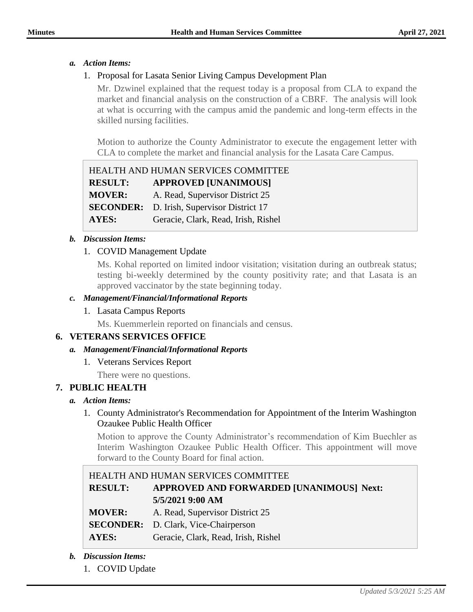## *a. Action Items:*

## 1. Proposal for Lasata Senior Living Campus Development Plan

Mr. Dzwinel explained that the request today is a proposal from CLA to expand the market and financial analysis on the construction of a CBRF. The analysis will look at what is occurring with the campus amid the pandemic and long-term effects in the skilled nursing facilities.

Motion to authorize the County Administrator to execute the engagement letter with CLA to complete the market and financial analysis for the Lasata Care Campus.

|                | HEALTH AND HUMAN SERVICES COMMITTEE               |
|----------------|---------------------------------------------------|
| <b>RESULT:</b> | <b>APPROVED [UNANIMOUS]</b>                       |
| <b>MOVER:</b>  | A. Read, Supervisor District 25                   |
|                | <b>SECONDER:</b> D. Irish, Supervisor District 17 |
| <b>AYES:</b>   | Geracie, Clark, Read, Irish, Rishel               |

### *b. Discussion Items:*

## 1. COVID Management Update

Ms. Kohal reported on limited indoor visitation; visitation during an outbreak status; testing bi-weekly determined by the county positivity rate; and that Lasata is an approved vaccinator by the state beginning today.

#### *c. Management/Financial/Informational Reports*

### 1. Lasata Campus Reports

Ms. Kuemmerlein reported on financials and census.

### **6. VETERANS SERVICES OFFICE**

### *a. Management/Financial/Informational Reports*

1. Veterans Services Report

There were no questions.

## **7. PUBLIC HEALTH**

### *a. Action Items:*

## 1. County Administrator's Recommendation for Appointment of the Interim Washington Ozaukee Public Health Officer

Motion to approve the County Administrator's recommendation of Kim Buechler as Interim Washington Ozaukee Public Health Officer. This appointment will move forward to the County Board for final action.

| HEALTH AND HUMAN SERVICES COMMITTEE |                                             |  |  |
|-------------------------------------|---------------------------------------------|--|--|
| <b>RESULT:</b>                      | APPROVED AND FORWARDED [UNANIMOUS] Next:    |  |  |
|                                     | 5/5/2021 9:00 AM                            |  |  |
| <b>MOVER:</b>                       | A. Read, Supervisor District 25             |  |  |
|                                     | <b>SECONDER:</b> D. Clark, Vice-Chairperson |  |  |
| AYES:                               | Geracie, Clark, Read, Irish, Rishel         |  |  |

- *b. Discussion Items:*
	- 1. COVID Update